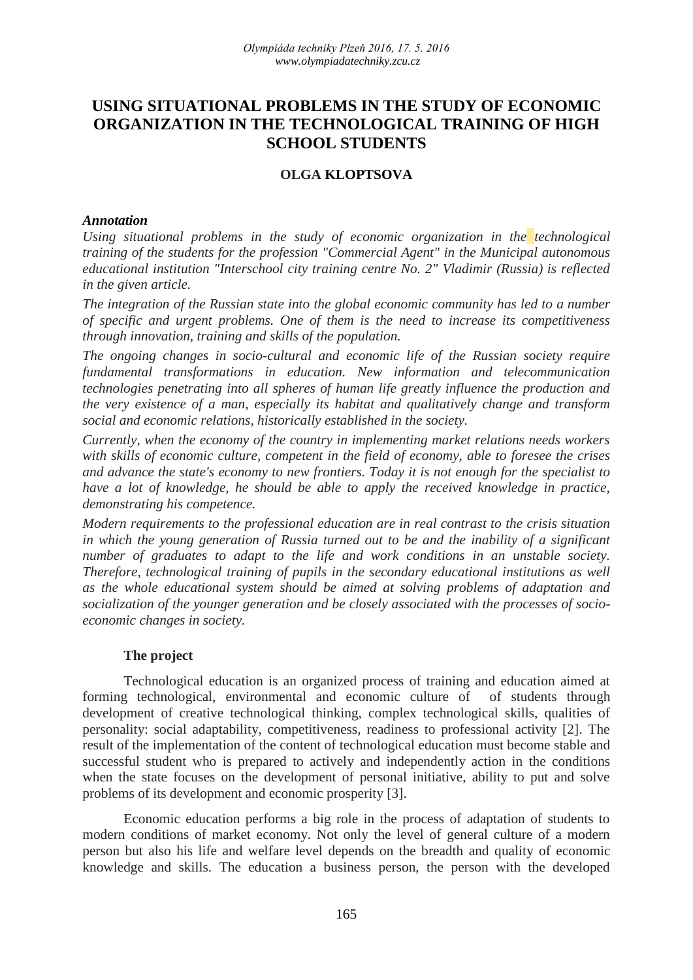# **USING SITUATIONAL PROBLEMS IN THE STUDY OF ECONOMIC ORGANIZATION IN THE TECHNOLOGICAL TRAINING OF HIGH SCHOOL STUDENTS**

## **OLGA KLOPTSOVA**

#### *Annotation*

*Using situational problems in the study of economic organization in the technological training of the students for the profession "Commercial Agent" in the Municipal autonomous educational institution "Interschool city training centre No. 2" Vladimir (Russia) is reflected in the given article.*

*The integration of the Russian state into the global economic community has led to a number of specific and urgent problems. One of them is the need to increase its competitiveness through innovation, training and skills of the population.*

*The ongoing changes in socio-cultural and economic life of the Russian society require fundamental transformations in education. New information and telecommunication technologies penetrating into all spheres of human life greatly influence the production and the very existence of a man, especially its habitat and qualitatively change and transform social and economic relations, historically established in the society.*

*Currently, when the economy of the country in implementing market relations needs workers with skills of economic culture, competent in the field of economy, able to foresee the crises and advance the state's economy to new frontiers. Today it is not enough for the specialist to have a lot of knowledge, he should be able to apply the received knowledge in practice, demonstrating his competence.*

*Modern requirements to the professional education are in real contrast to the crisis situation in which the young generation of Russia turned out to be and the inability of a significant number of graduates to adapt to the life and work conditions in an unstable society. Therefore, technological training of pupils in the secondary educational institutions as well as the whole educational system should be aimed at solving problems of adaptation and socialization of the younger generation and be closely associated with the processes of socioeconomic changes in society.*

### **The project**

Technological education is an organized process of training and education aimed at forming technological, environmental and economic culture of of students through development of creative technological thinking, complex technological skills, qualities of personality: social adaptability, competitiveness, readiness to professional activity [2]. The result of the implementation of the content of technological education must become stable and successful student who is prepared to actively and independently action in the conditions when the state focuses on the development of personal initiative, ability to put and solve problems of its development and economic prosperity [3].

Economic education performs a big role in the process of adaptation of students to modern conditions of market economy. Not only the level of general culture of a modern person but also his life and welfare level depends on the breadth and quality of economic knowledge and skills. The education a business person, the person with the developed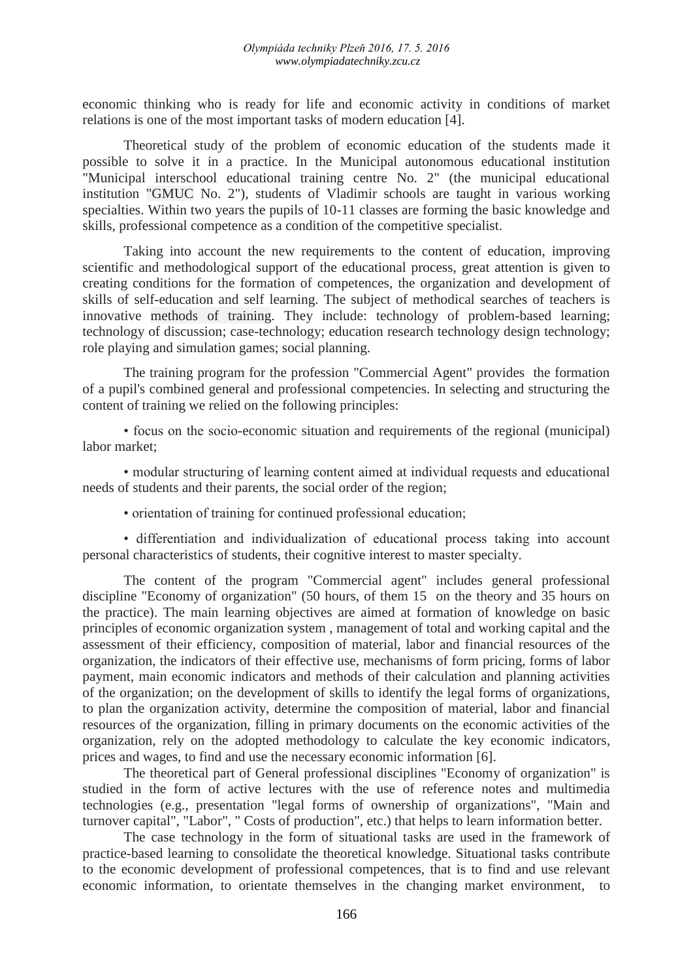economic thinking who is ready for life and economic activity in conditions of market relations is one of the most important tasks of modern education [4].

Theoretical study of the problem of economic education of the students made it possible to solve it in a practice. In the Municipal autonomous educational institution "Municipal interschool educational training centre No. 2" (the municipal educational institution "GMUC No. 2"), students of Vladimir schools are taught in various working specialties. Within two years the pupils of 10-11 classes are forming the basic knowledge and skills, professional competence as a condition of the competitive specialist.

Taking into account the new requirements to the content of education, improving scientific and methodological support of the educational process, great attention is given to creating conditions for the formation of competences, the organization and development of skills of self-education and self learning. The subject of methodical searches of teachers is innovative methods of training. They include: technology of problem-based learning; technology of discussion; case-technology; education research technology design technology; role playing and simulation games; social planning.

The training program for the profession "Commercial Agent" provides the formation of a pupil's combined general and professional competencies. In selecting and structuring the content of training we relied on the following principles:

• focus on the socio-economic situation and requirements of the regional (municipal) labor market;

• modular structuring of learning content aimed at individual requests and educational needs of students and their parents, the social order of the region;

• orientation of training for continued professional education;

• differentiation and individualization of educational process taking into account personal characteristics of students, their cognitive interest to master specialty.

The content of the program "Commercial agent" includes general professional discipline "Economy of organization" (50 hours, of them 15 on the theory and 35 hours on the practice). The main learning objectives are aimed at formation of knowledge on basic principles of economic organization system , management of total and working capital and the assessment of their efficiency, composition of material, labor and financial resources of the organization, the indicators of their effective use, mechanisms of form pricing, forms of labor payment, main economic indicators and methods of their calculation and planning activities of the organization; on the development of skills to identify the legal forms of organizations, to plan the organization activity, determine the composition of material, labor and financial resources of the organization, filling in primary documents on the economic activities of the organization, rely on the adopted methodology to calculate the key economic indicators, prices and wages, to find and use the necessary economic information [6].

The theoretical part of General professional disciplines "Economy of organization" is studied in the form of active lectures with the use of reference notes and multimedia technologies (e.g., presentation "legal forms of ownership of organizations", "Main and turnover capital", "Labor", " Costs of production", etc.) that helps to learn information better.

The case technology in the form of situational tasks are used in the framework of practice-based learning to consolidate the theoretical knowledge. Situational tasks contribute to the economic development of professional competences, that is to find and use relevant economic information, to orientate themselves in the changing market environment, to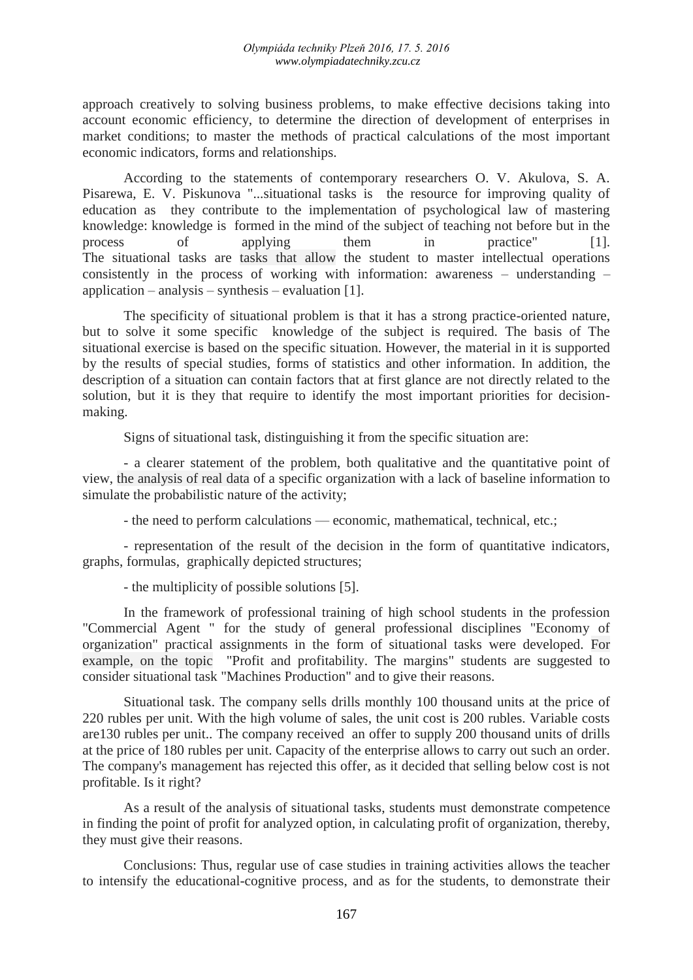approach creatively to solving business problems, to make effective decisions taking into account economic efficiency, to determine the direction of development of enterprises in market conditions; to master the methods of practical calculations of the most important economic indicators, forms and relationships.

According to the statements of contemporary researchers O. V. Akulova, S. A. Pisarewa, E. V. Piskunova "...situational tasks is the resource for improving quality of education as they contribute to the implementation of psychological law of mastering knowledge: knowledge is formed in the mind of the subject of teaching not before but in the process of applying them in practice" [1]. The situational tasks are tasks that allow the student to master intellectual operations consistently in the process of working with information: awareness – understanding – application – analysis – synthesis – evaluation  $[1]$ .

The specificity of situational problem is that it has a strong practice-oriented nature, but to solve it some specific knowledge of the subject is required. The basis of The situational exercise is based on the specific situation. However, the material in it is supported by the results of special studies, forms of statistics and other information. In addition, the description of a situation can contain factors that at first glance are not directly related to the solution, but it is they that require to identify the most important priorities for decisionmaking.

Signs of situational task, distinguishing it from the specific situation are:

- a clearer statement of the problem, both qualitative and the quantitative point of view, the analysis of real data of a specific organization with a lack of baseline information to simulate the probabilistic nature of the activity;

- the need to perform calculations — economic, mathematical, technical, etc.;

- representation of the result of the decision in the form of quantitative indicators, graphs, formulas, graphically depicted structures;

- the multiplicity of possible solutions [5].

In the framework of professional training of high school students in the profession "Commercial Agent " for the study of general professional disciplines "Economy of organization" practical assignments in the form of situational tasks were developed. For example, on the topic "Profit and profitability. The margins" students are suggested to consider situational task "Machines Production" and to give their reasons.

Situational task. The company sells drills monthly 100 thousand units at the price of 220 rubles per unit. With the high volume of sales, the unit cost is 200 rubles. Variable costs are130 rubles per unit.. The company received an offer to supply 200 thousand units of drills at the price of 180 rubles per unit. Capacity of the enterprise allows to carry out such an order. The company's management has rejected this offer, as it decided that selling below cost is not profitable. Is it right?

As a result of the analysis of situational tasks, students must demonstrate competence in finding the point of profit for analyzed option, in calculating profit of organization, thereby, they must give their reasons.

Conclusions: Thus, regular use of case studies in training activities allows the teacher to intensify the educational-cognitive process, and as for the students, to demonstrate their